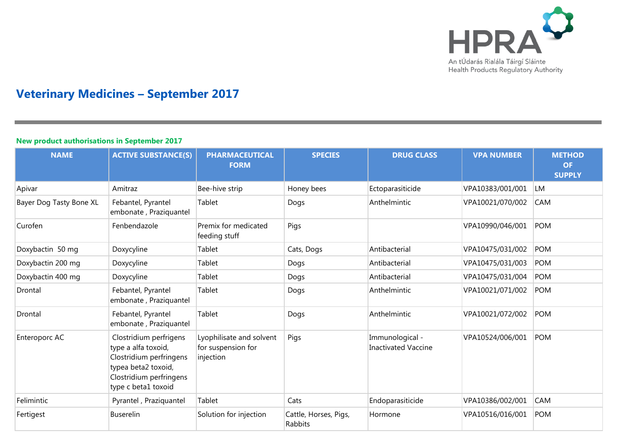

## **Veterinary Medicines – September 2017**

## **New product authorisations in September 2017 NAME ACTIVE SUBSTANCE(S) PHARMACEUTICAL FORM SPECIES DRUG CLASS VPA NUMBER METHOD OF SUPPLY** Apivar Amitraz Bee-hive strip Honey bees Ectoparasiticide VPA10383/001/001 LM Bayer Dog Tasty Bone XL | Febantel, Pyrantel embonate , Praziquantel Tablet **Dogs CAM** Dogs **Anthelmintic** VPA10021/070/002 CAM Curofen Fenbendazole Premix for medicated feeding stuff Pigs VPA10990/046/001 POM Doxybactin 50 mg Doxycyline Tablet Cats, Dogs Antibacterial VPA10475/031/002 POM Doxybactin 200 mg Doxycyline Tablet Dogs Antibacterial VPA10475/031/003 POM Doxybactin 400 mg Doxycyline Tablet Dogs Antibacterial VPA10475/031/004 POM Drontal Febantel, Pyrantel embonate , Praziquantel Tablet Dogs Anthelmintic VPA10021/071/002 POM Drontal Febantel, Pyrantel embonate , Praziquantel Tablet Dogs Anthelmintic VPA10021/072/002 POM Enteroporc AC Clostridium perfrigens type a alfa toxoid, Clostridium perfringens typea beta2 toxoid, Clostridium perfringens type c beta1 toxoid Lyophilisate and solvent for suspension for injection Pigs **Immunological** -Inactivated Vaccine VPA10524/006/001 POM Felimintic Pyrantel , Praziquantel Tablet Cats Endoparasiticide VPA10386/002/001 CAM Fertigest Buserelin Solution for injection Cattle, Horses, Pigs, **Rabbits** Hormone VPA10516/016/001 POM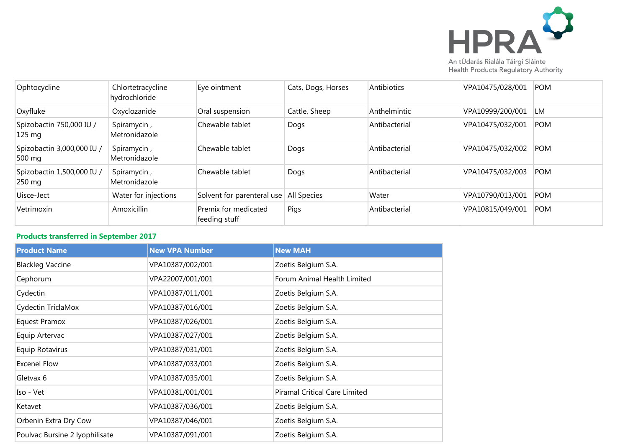

Ophtocycline Chlortetracycline hydrochloride Eye ointment Cats, Dogs, Horses Antibiotics VPA10475/028/001 POM Oxyfluke Cxyclozanide Cral suspension Cattle, Sheep Anthelmintic VPA10999/200/001 LM Spizobactin 750,000 IU / 125 mg Spiramycin , Metronidazole Chewable tablet  $\vert$  Dogs Antibacterial VPA10475/032/001 POM Spizobactin 3,000,000 IU / 500 mg Spiramycin , Metronidazole Chewable tablet  $\vert$  Dogs Antibacterial VPA10475/032/002 POM Spizobactin 1,500,000 IU / 250 mg Spiramycin , Metronidazole Chewable tablet Dogs Antibacterial VPA10475/032/003 POM Uisce-Ject Water for injections Solvent for parenteral use All Species Water VPA10790/013/001 POM Vetrimoxin **Amoxicillin Premix for medicated** feeding stuff Pigs Antibacterial VPA10815/049/001 POM

## **Products transferred in September 2017**

| <b>Product Name</b>            | <b>New VPA Number</b> | <b>New MAH</b>                |
|--------------------------------|-----------------------|-------------------------------|
| <b>Blackleg Vaccine</b>        | VPA10387/002/001      | Zoetis Belgium S.A.           |
| Cephorum                       | VPA22007/001/001      | Forum Animal Health Limited   |
| Cydectin                       | VPA10387/011/001      | Zoetis Belgium S.A.           |
| Cydectin TriclaMox             | VPA10387/016/001      | Zoetis Belgium S.A.           |
| <b>Equest Pramox</b>           | VPA10387/026/001      | Zoetis Belgium S.A.           |
| Equip Artervac                 | VPA10387/027/001      | Zoetis Belgium S.A.           |
| Equip Rotavirus                | VPA10387/031/001      | Zoetis Belgium S.A.           |
| <b>Excenel Flow</b>            | VPA10387/033/001      | Zoetis Belgium S.A.           |
| Gletvax 6                      | VPA10387/035/001      | Zoetis Belgium S.A.           |
| Iso - Vet                      | VPA10381/001/001      | Piramal Critical Care Limited |
| Ketavet                        | VPA10387/036/001      | Zoetis Belgium S.A.           |
| Orbenin Extra Dry Cow          | VPA10387/046/001      | Zoetis Belgium S.A.           |
| Poulvac Bursine 2 lyophilisate | VPA10387/091/001      | Zoetis Belgium S.A.           |